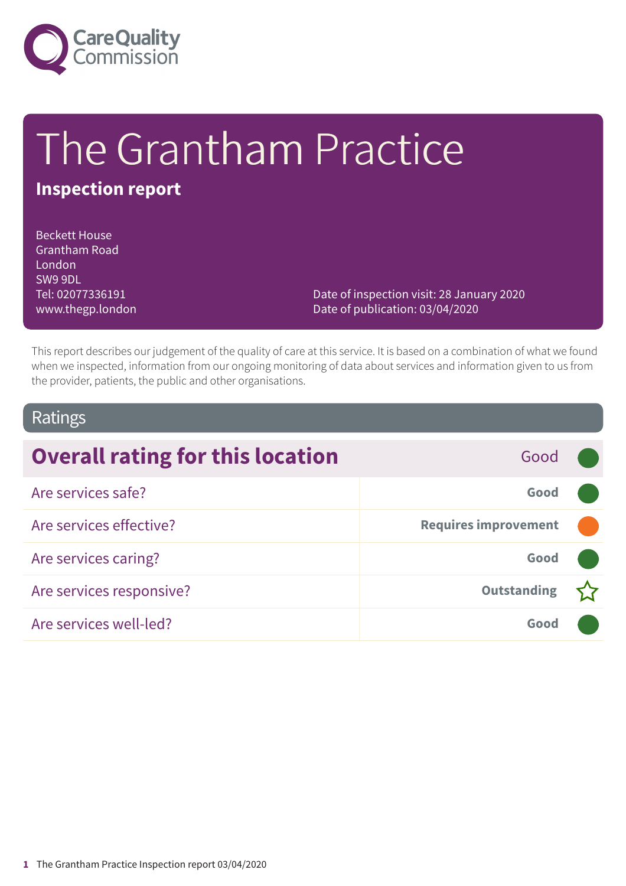

# The Grantham Practice

# **Inspection report**

Beckett House Grantham Road London SW9 9DL Tel: 02077336191 www.thegp.london

Date of inspection visit: 28 January 2020 Date of publication: 03/04/2020

This report describes our judgement of the quality of care at this service. It is based on a combination of what we found when we inspected, information from our ongoing monitoring of data about services and information given to us from the provider, patients, the public and other organisations.

### Ratings

| <b>Overall rating for this location</b> | Good                        |  |
|-----------------------------------------|-----------------------------|--|
| Are services safe?                      | Good                        |  |
| Are services effective?                 | <b>Requires improvement</b> |  |
| Are services caring?                    | Good                        |  |
| Are services responsive?                | <b>Outstanding</b>          |  |
| Are services well-led?                  | Good                        |  |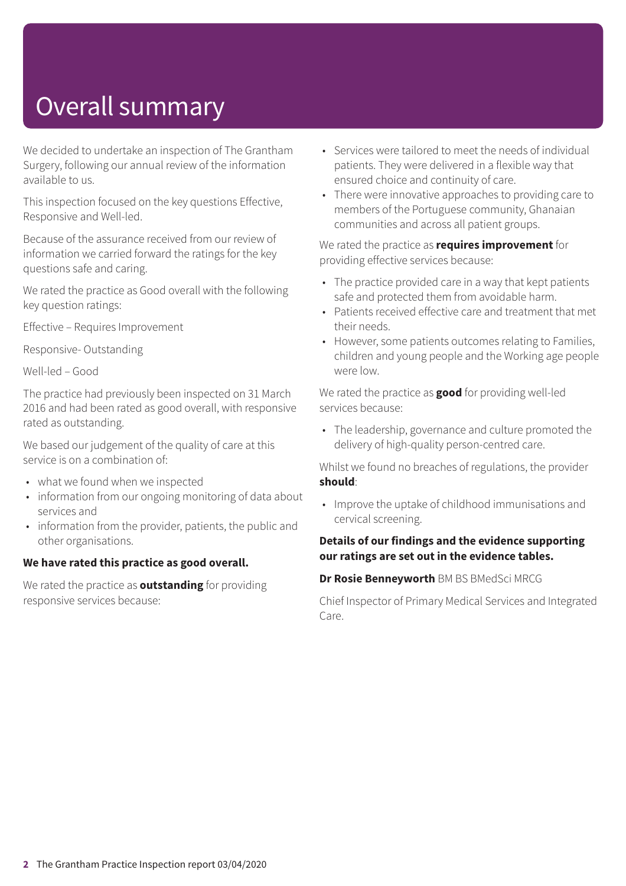# Overall summary

We decided to undertake an inspection of The Grantham Surgery, following our annual review of the information available to us.

This inspection focused on the key questions Effective, Responsive and Well-led.

Because of the assurance received from our review of information we carried forward the ratings for the key questions safe and caring.

We rated the practice as Good overall with the following key question ratings:

Effective – Requires Improvement

Responsive- Outstanding

Well-led – Good

The practice had previously been inspected on 31 March 2016 and had been rated as good overall, with responsive rated as outstanding.

We based our judgement of the quality of care at this service is on a combination of:

- what we found when we inspected
- information from our ongoing monitoring of data about services and
- information from the provider, patients, the public and other organisations.

#### **We have rated this practice as good overall.**

We rated the practice as **outstanding** for providing responsive services because:

- Services were tailored to meet the needs of individual patients. They were delivered in a flexible way that ensured choice and continuity of care.
- There were innovative approaches to providing care to members of the Portuguese community, Ghanaian communities and across all patient groups.

#### We rated the practice as **requires improvement** for providing effective services because:

- The practice provided care in a way that kept patients safe and protected them from avoidable harm.
- Patients received effective care and treatment that met their needs.
- However, some patients outcomes relating to Families, children and young people and the Working age people were low.

We rated the practice as **good** for providing well-led services because:

• The leadership, governance and culture promoted the delivery of high-quality person-centred care.

Whilst we found no breaches of regulations, the provider **should**:

• Improve the uptake of childhood immunisations and cervical screening.

#### **Details of our findings and the evidence supporting our ratings are set out in the evidence tables.**

#### **Dr Rosie Benneyworth** BM BS BMedSci MRCG

Chief Inspector of Primary Medical Services and Integrated Care